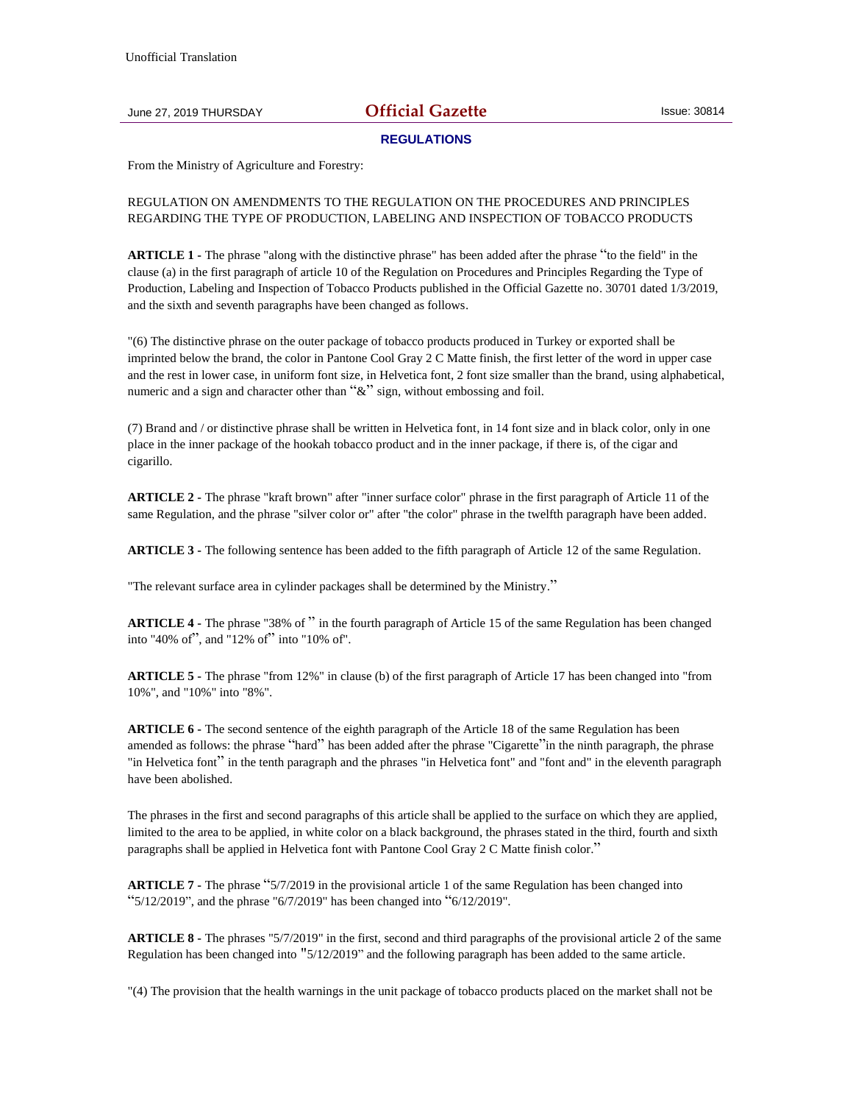## June 27, 2019 THURSDAY **Official Gazette** Issue: 30814

## **REGULATIONS**

From the Ministry of Agriculture and Forestry:

## REGULATION ON AMENDMENTS TO THE REGULATION ON THE PROCEDURES AND PRINCIPLES REGARDING THE TYPE OF PRODUCTION, LABELING AND INSPECTION OF TOBACCO PRODUCTS

**ARTICLE 1 -** The phrase "along with the distinctive phrase" has been added after the phrase "to the field" in the clause (a) in the first paragraph of article 10 of the Regulation on Procedures and Principles Regarding the Type of Production, Labeling and Inspection of Tobacco Products published in the Official Gazette no. 30701 dated 1/3/2019, and the sixth and seventh paragraphs have been changed as follows.

"(6) The distinctive phrase on the outer package of tobacco products produced in Turkey or exported shall be imprinted below the brand, the color in Pantone Cool Gray 2 C Matte finish, the first letter of the word in upper case and the rest in lower case, in uniform font size, in Helvetica font, 2 font size smaller than the brand, using alphabetical, numeric and a sign and character other than " $\&$ " sign, without embossing and foil.

(7) Brand and / or distinctive phrase shall be written in Helvetica font, in 14 font size and in black color, only in one place in the inner package of the hookah tobacco product and in the inner package, if there is, of the cigar and cigarillo.

**ARTICLE 2 -** The phrase "kraft brown" after "inner surface color" phrase in the first paragraph of Article 11 of the same Regulation, and the phrase "silver color or" after "the color" phrase in the twelfth paragraph have been added.

**ARTICLE 3 -** The following sentence has been added to the fifth paragraph of Article 12 of the same Regulation.

"The relevant surface area in cylinder packages shall be determined by the Ministry."

**ARTICLE 4 -** The phrase "38% of " in the fourth paragraph of Article 15 of the same Regulation has been changed into "40% of", and "12% of" into "10% of".

**ARTICLE 5 -** The phrase "from 12%" in clause (b) of the first paragraph of Article 17 has been changed into "from 10%", and "10%" into "8%".

**ARTICLE 6 -** The second sentence of the eighth paragraph of the Article 18 of the same Regulation has been amended as follows: the phrase "hard" has been added after the phrase "Cigarette"in the ninth paragraph, the phrase "in Helvetica font" in the tenth paragraph and the phrases "in Helvetica font" and "font and" in the eleventh paragraph have been abolished.

The phrases in the first and second paragraphs of this article shall be applied to the surface on which they are applied, limited to the area to be applied, in white color on a black background, the phrases stated in the third, fourth and sixth paragraphs shall be applied in Helvetica font with Pantone Cool Gray 2 C Matte finish color."

**ARTICLE 7 -** The phrase "5/7/2019 in the provisional article 1 of the same Regulation has been changed into " $5/12/2019$ ", and the phrase " $6/7/2019$ " has been changed into " $6/12/2019$ ".

**ARTICLE 8 -** The phrases "5/7/2019" in the first, second and third paragraphs of the provisional article 2 of the same Regulation has been changed into "5/12/2019" and the following paragraph has been added to the same article.

"(4) The provision that the health warnings in the unit package of tobacco products placed on the market shall not be